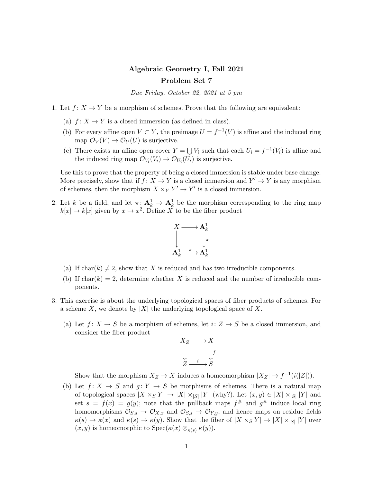## Algebraic Geometry I, Fall 2021 Problem Set 7

Due Friday, October 22, 2021 at 5 pm

- 1. Let  $f: X \to Y$  be a morphism of schemes. Prove that the following are equivalent:
	- (a)  $f: X \to Y$  is a closed immersion (as defined in class).
	- (b) For every affine open  $V \subset Y$ , the preimage  $U = f^{-1}(V)$  is affine and the induced ring map  $\mathcal{O}_V(V) \to \mathcal{O}_U(U)$  is surjective.
	- (c) There exists an affine open cover  $Y = \bigcup V_i$  such that each  $U_i = f^{-1}(V_i)$  is affine and the induced ring map  $\mathcal{O}_{V_i}(V_i) \to \mathcal{O}_{U_i}(U_i)$  is surjective.

Use this to prove that the property of being a closed immersion is stable under base change. More precisely, show that if  $f: X \to Y$  is a closed immersion and  $Y' \to Y$  is any morphism of schemes, then the morphism  $X \times_Y Y' \to Y'$  is a closed immersion.

2. Let k be a field, and let  $\pi: \mathbf{A}^1_k \to \mathbf{A}^1_k$  be the morphism corresponding to the ring map  $k[x] \to k[x]$  given by  $x \mapsto x^2$ . Define X to be the fiber product



- (a) If char(k)  $\neq$  2, show that X is reduced and has two irreducible components.
- (b) If char(k) = 2, determine whether X is reduced and the number of irreducible components.
- 3. This exercise is about the underlying topological spaces of fiber products of schemes. For a scheme X, we denote by  $|X|$  the underlying topological space of X.
	- (a) Let  $f: X \to S$  be a morphism of schemes, let  $i: Z \to S$  be a closed immersion, and consider the fiber product



Show that the morphism  $X_Z \to X$  induces a homeomorphism  $|X_Z| \to f^{-1}(i(|Z|)).$ 

(b) Let  $f: X \to S$  and  $g: Y \to S$  be morphisms of schemes. There is a natural map of topological spaces  $|X \times_S Y| \to |X| \times_{|S|} |Y|$  (why?). Let  $(x, y) \in |X| \times_{|S|} |Y|$  and set  $s = f(x) = g(y)$ ; note that the pullback maps  $f^{\#}$  and  $g^{\#}$  induce local ring homomorphisms  $\mathcal{O}_{S,s} \to \mathcal{O}_{X,x}$  and  $\mathcal{O}_{S,s} \to \mathcal{O}_{Y,y}$ , and hence maps on residue fields  $\kappa(s) \to \kappa(x)$  and  $\kappa(s) \to \kappa(y)$ . Show that the fiber of  $|X \times_S Y| \to |X| \times_{|S|} |Y|$  over  $(x, y)$  is homeomorphic to Spec $(\kappa(x) \otimes_{\kappa(s)} \kappa(y)).$